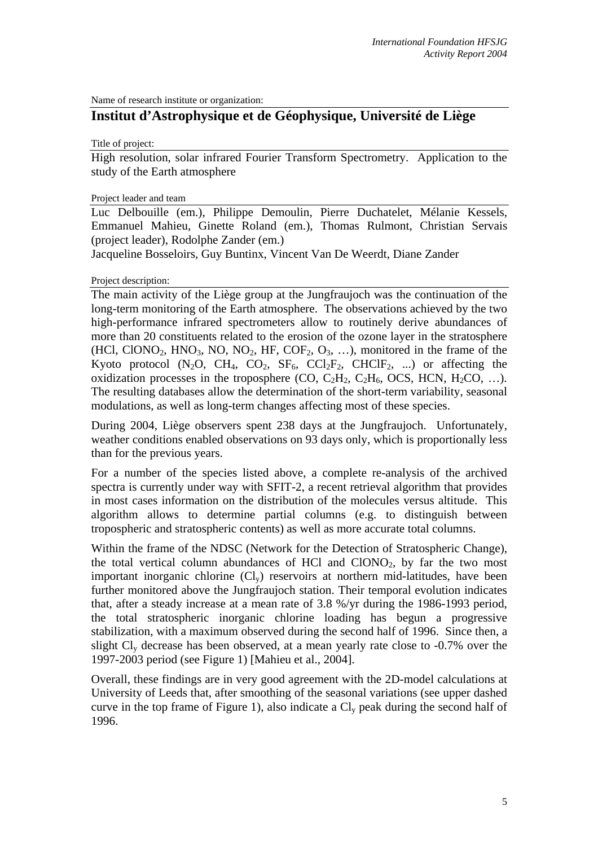Name of research institute or organization:

# **Institut d'Astrophysique et de Géophysique, Université de Liège**

Title of project:

High resolution, solar infrared Fourier Transform Spectrometry. Application to the study of the Earth atmosphere

#### Project leader and team

Luc Delbouille (em.), Philippe Demoulin, Pierre Duchatelet, Mélanie Kessels, Emmanuel Mahieu, Ginette Roland (em.), Thomas Rulmont, Christian Servais (project leader), Rodolphe Zander (em.)

Jacqueline Bosseloirs, Guy Buntinx, Vincent Van De Weerdt, Diane Zander

#### Project description:

The main activity of the Liège group at the Jungfraujoch was the continuation of the long-term monitoring of the Earth atmosphere. The observations achieved by the two high-performance infrared spectrometers allow to routinely derive abundances of more than 20 constituents related to the erosion of the ozone layer in the stratosphere (HCl, ClONO<sub>2</sub>, HNO<sub>3</sub>, NO, NO<sub>2</sub>, HF, COF<sub>2</sub>, O<sub>3</sub>, ...), monitored in the frame of the Kyoto protocol  $(N_2O, CH_4, CO_2, SF_6, CCl_2F_2, CHClF_2, ...)$  or affecting the oxidization processes in the troposphere  $(CO, C_2H_2, C_2H_6, OCS, HCN, H_2CO, ...).$ The resulting databases allow the determination of the short-term variability, seasonal modulations, as well as long-term changes affecting most of these species.

During 2004, Liège observers spent 238 days at the Jungfraujoch. Unfortunately, weather conditions enabled observations on 93 days only, which is proportionally less than for the previous years.

For a number of the species listed above, a complete re-analysis of the archived spectra is currently under way with SFIT-2, a recent retrieval algorithm that provides in most cases information on the distribution of the molecules versus altitude. This algorithm allows to determine partial columns (e.g. to distinguish between tropospheric and stratospheric contents) as well as more accurate total columns.

Within the frame of the NDSC (Network for the Detection of Stratospheric Change), the total vertical column abundances of HCl and  $CIONO<sub>2</sub>$ , by far the two most important inorganic chlorine  $(Cl_v)$  reservoirs at northern mid-latitudes, have been further monitored above the Jungfraujoch station. Their temporal evolution indicates that, after a steady increase at a mean rate of 3.8 %/yr during the 1986-1993 period, the total stratospheric inorganic chlorine loading has begun a progressive stabilization, with a maximum observed during the second half of 1996. Since then, a slight  $Cl<sub>v</sub>$  decrease has been observed, at a mean yearly rate close to  $-0.7\%$  over the 1997-2003 period (see Figure 1) [Mahieu et al., 2004].

Overall, these findings are in very good agreement with the 2D-model calculations at University of Leeds that, after smoothing of the seasonal variations (see upper dashed curve in the top frame of Figure 1), also indicate a  $Cl_v$  peak during the second half of 1996.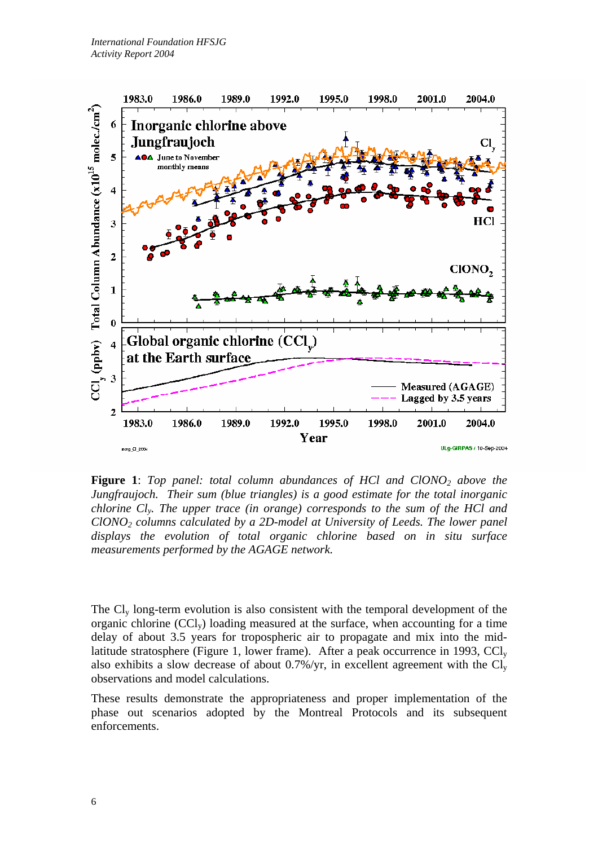

Figure 1: Top panel: total column abundances of HCl and ClONO<sub>2</sub> above the *Jungfraujoch. Their sum (blue triangles) is a good estimate for the total inorganic chlorine Cly. The upper trace (in orange) corresponds to the sum of the HCl and ClONO2 columns calculated by a 2D-model at University of Leeds. The lower panel displays the evolution of total organic chlorine based on in situ surface measurements performed by the AGAGE network.* 

The Cly long-term evolution is also consistent with the temporal development of the organic chlorine (CCly) loading measured at the surface, when accounting for a time delay of about 3.5 years for tropospheric air to propagate and mix into the midlatitude stratosphere (Figure 1, lower frame). After a peak occurrence in 1993,  $\text{CCl}_v$ also exhibits a slow decrease of about 0.7%/yr, in excellent agreement with the  $Cl_v$ observations and model calculations.

These results demonstrate the appropriateness and proper implementation of the phase out scenarios adopted by the Montreal Protocols and its subsequent enforcements.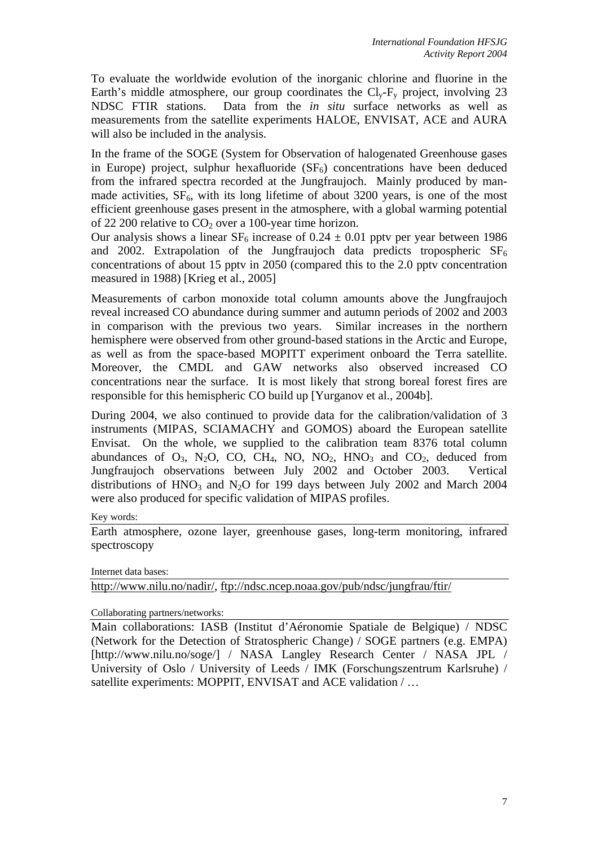To evaluate the worldwide evolution of the inorganic chlorine and fluorine in the Earth's middle atmosphere, our group coordinates the  $Cl_v-F_v$  project, involving 23 NDSC FTIR stations. Data from the *in situ* surface networks as well as measurements from the satellite experiments HALOE, ENVISAT, ACE and AURA will also be included in the analysis.

In the frame of the SOGE (System for Observation of halogenated Greenhouse gases in Europe) project, sulphur hexafluoride  $(SF_6)$  concentrations have been deduced from the infrared spectra recorded at the Jungfraujoch. Mainly produced by manmade activities,  $SF<sub>6</sub>$ , with its long lifetime of about 3200 years, is one of the most efficient greenhouse gases present in the atmosphere, with a global warming potential of 22 200 relative to  $CO<sub>2</sub>$  over a 100-year time horizon.

Our analysis shows a linear  $SF_6$  increase of 0.24  $\pm$  0.01 pptv per year between 1986 and 2002. Extrapolation of the Jungfraujoch data predicts tropospheric  $SF<sub>6</sub>$ concentrations of about 15 pptv in 2050 (compared this to the 2.0 pptv concentration measured in 1988) [Krieg et al., 2005]

Measurements of carbon monoxide total column amounts above the Jungfraujoch reveal increased CO abundance during summer and autumn periods of 2002 and 2003 in comparison with the previous two years. Similar increases in the northern hemisphere were observed from other ground-based stations in the Arctic and Europe, as well as from the space-based MOPITT experiment onboard the Terra satellite. Moreover, the CMDL and GAW networks also observed increased CO concentrations near the surface. It is most likely that strong boreal forest fires are responsible for this hemispheric CO build up [Yurganov et al., 2004b].

During 2004, we also continued to provide data for the calibration/validation of 3 instruments (MIPAS, SCIAMACHY and GOMOS) aboard the European satellite Envisat. On the whole, we supplied to the calibration team 8376 total column abundances of  $O_3$ , N<sub>2</sub>O, CO, CH<sub>4</sub>, NO, NO<sub>2</sub>, HNO<sub>3</sub> and CO<sub>2</sub>, deduced from Jungfraujoch observations between July 2002 and October 2003. Vertical distributions of  $HNO<sub>3</sub>$  and  $N<sub>2</sub>O$  for 199 days between July 2002 and March 2004 were also produced for specific validation of MIPAS profiles.

Key words:

Earth atmosphere, ozone layer, greenhouse gases, long-term monitoring, infrared spectroscopy

Internet data bases:

[http://www.nilu.no/nadir/, ftp://ndsc.ncep.noaa.gov/pub/ndsc/jungfrau/ftir/](http://kspc4.unibe.ch/nm)

Collaborating partners/networks:

Main collaborations: IASB (Institut d'Aéronomie Spatiale de Belgique) / NDSC (Network for the Detection of Stratospheric Change) / SOGE partners (e.g. EMPA) [http://www.nilu.no/soge/] / NASA Langley Research Center / NASA JPL / University of Oslo / University of Leeds / IMK (Forschungszentrum Karlsruhe) / satellite experiments: MOPPIT, ENVISAT and ACE validation / ...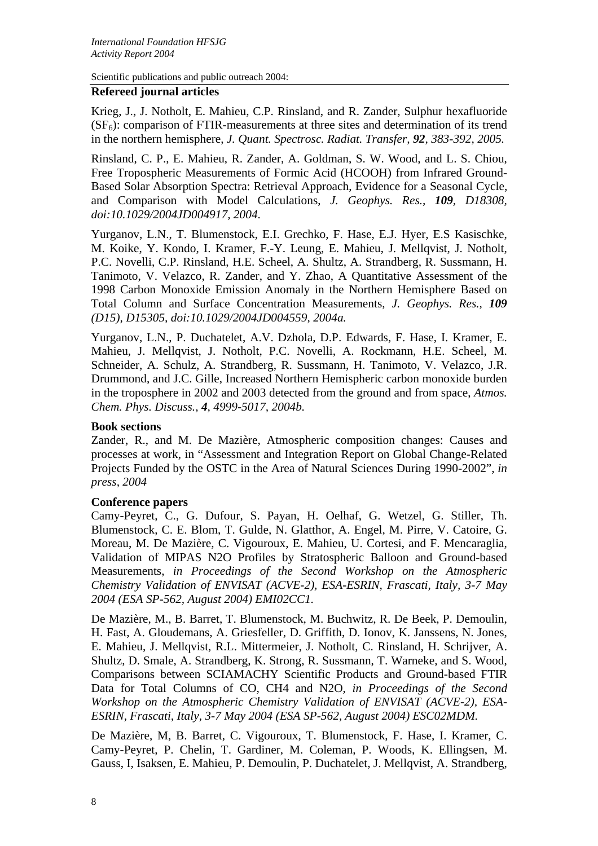Scientific publications and public outreach 2004:

#### **Refereed journal articles**

Krieg, J., J. Notholt, E. Mahieu, C.P. Rinsland, and R. Zander, Sulphur hexafluoride  $(SF_6)$ : comparison of FTIR-measurements at three sites and determination of its trend in the northern hemisphere, *J. Quant. Spectrosc. Radiat. Transfer, 92, 383-392, 2005.*

Rinsland, C. P., E. Mahieu, R. Zander, A. Goldman, S. W. Wood, and L. S. Chiou, Free Tropospheric Measurements of Formic Acid (HCOOH) from Infrared Ground-Based Solar Absorption Spectra: Retrieval Approach, Evidence for a Seasonal Cycle, and Comparison with Model Calculations, *J. Geophys. Res., 109, D18308, doi:10.1029/2004JD004917, 2004*.

Yurganov, L.N., T. Blumenstock, E.I. Grechko, F. Hase, E.J. Hyer, E.S Kasischke, M. Koike, Y. Kondo, I. Kramer, F.-Y. Leung, E. Mahieu, J. Mellqvist, J. Notholt, P.C. Novelli, C.P. Rinsland, H.E. Scheel, A. Shultz, A. Strandberg, R. Sussmann, H. Tanimoto, V. Velazco, R. Zander, and Y. Zhao, A Quantitative Assessment of the 1998 Carbon Monoxide Emission Anomaly in the Northern Hemisphere Based on Total Column and Surface Concentration Measurements, *J. Geophys. Res., 109 (D15), D15305, doi:10.1029/2004JD004559, 2004a.*

Yurganov, L.N., P. Duchatelet, A.V. Dzhola, D.P. Edwards, F. Hase, I. Kramer, E. Mahieu, J. Mellqvist, J. Notholt, P.C. Novelli, A. Rockmann, H.E. Scheel, M. Schneider, A. Schulz, A. Strandberg, R. Sussmann, H. Tanimoto, V. Velazco, J.R. Drummond, and J.C. Gille, Increased Northern Hemispheric carbon monoxide burden in the troposphere in 2002 and 2003 detected from the ground and from space, *Atmos. Chem. Phys. Discuss., 4, 4999-5017, 2004b.*

#### **Book sections**

Zander, R., and M. De Mazière, Atmospheric composition changes: Causes and processes at work, in "Assessment and Integration Report on Global Change-Related Projects Funded by the OSTC in the Area of Natural Sciences During 1990-2002", *in press, 2004*

## **Conference papers**

Camy-Peyret, C., G. Dufour, S. Payan, H. Oelhaf, G. Wetzel, G. Stiller, Th. Blumenstock, C. E. Blom, T. Gulde, N. Glatthor, A. Engel, M. Pirre, V. Catoire, G. Moreau, M. De Mazière, C. Vigouroux, E. Mahieu, U. Cortesi, and F. Mencaraglia, Validation of MIPAS N2O Profiles by Stratospheric Balloon and Ground-based Measurements, *in Proceedings of the Second Workshop on the Atmospheric Chemistry Validation of ENVISAT (ACVE-2), ESA-ESRIN, Frascati, Italy, 3-7 May 2004 (ESA SP-562, August 2004) EMI02CC1.*

De Mazière, M., B. Barret, T. Blumenstock, M. Buchwitz, R. De Beek, P. Demoulin, H. Fast, A. Gloudemans, A. Griesfeller, D. Griffith, D. Ionov, K. Janssens, N. Jones, E. Mahieu, J. Mellqvist, R.L. Mittermeier, J. Notholt, C. Rinsland, H. Schrijver, A. Shultz, D. Smale, A. Strandberg, K. Strong, R. Sussmann, T. Warneke, and S. Wood, Comparisons between SCIAMACHY Scientific Products and Ground-based FTIR Data for Total Columns of CO, CH4 and N2O, *in Proceedings of the Second Workshop on the Atmospheric Chemistry Validation of ENVISAT (ACVE-2), ESA-ESRIN, Frascati, Italy, 3-7 May 2004 (ESA SP-562, August 2004) ESC02MDM.*

De Mazière, M, B. Barret, C. Vigouroux, T. Blumenstock, F. Hase, I. Kramer, C. Camy-Peyret, P. Chelin, T. Gardiner, M. Coleman, P. Woods, K. Ellingsen, M. Gauss, I, Isaksen, E. Mahieu, P. Demoulin, P. Duchatelet, J. Mellqvist, A. Strandberg,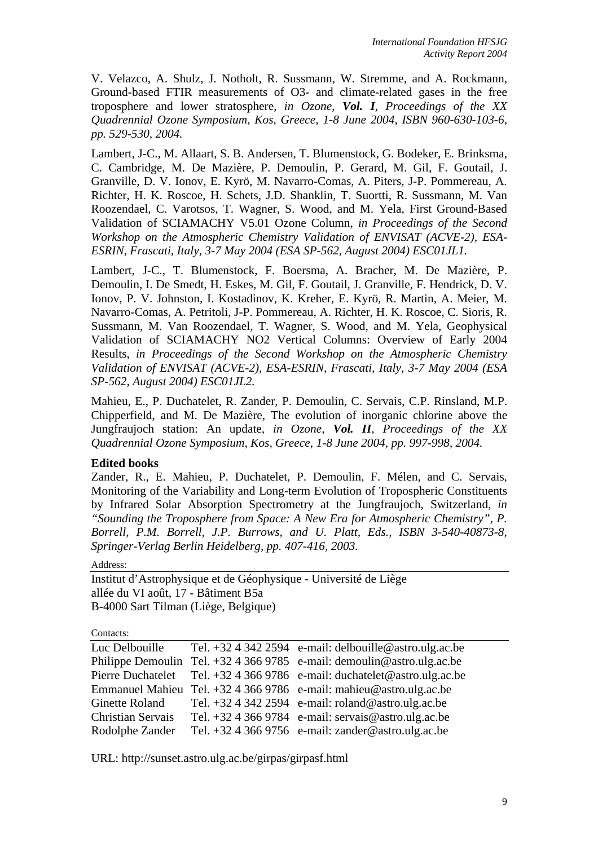V. Velazco, A. Shulz, J. Notholt, R. Sussmann, W. Stremme, and A. Rockmann, Ground-based FTIR measurements of O3- and climate-related gases in the free troposphere and lower stratosphere, *in Ozone, Vol. I, Proceedings of the XX Quadrennial Ozone Symposium, Kos, Greece, 1-8 June 2004, ISBN 960-630-103-6, pp. 529-530, 2004.*

Lambert, J-C., M. Allaart, S. B. Andersen, T. Blumenstock, G. Bodeker, E. Brinksma, C. Cambridge, M. De Mazière, P. Demoulin, P. Gerard, M. Gil, F. Goutail, J. Granville, D. V. Ionov, E. Kyrö, M. Navarro-Comas, A. Piters, J-P. Pommereau, A. Richter, H. K. Roscoe, H. Schets, J.D. Shanklin, T. Suortti, R. Sussmann, M. Van Roozendael, C. Varotsos, T. Wagner, S. Wood, and M. Yela, First Ground-Based Validation of SCIAMACHY V5.01 Ozone Column, *in Proceedings of the Second Workshop on the Atmospheric Chemistry Validation of ENVISAT (ACVE-2), ESA-ESRIN, Frascati, Italy, 3-7 May 2004 (ESA SP-562, August 2004) ESC01JL1.*

Lambert, J-C., T. Blumenstock, F. Boersma, A. Bracher, M. De Mazière, P. Demoulin, I. De Smedt, H. Eskes, M. Gil, F. Goutail, J. Granville, F. Hendrick, D. V. Ionov, P. V. Johnston, I. Kostadinov, K. Kreher, E. Kyrö, R. Martin, A. Meier, M. Navarro-Comas, A. Petritoli, J-P. Pommereau, A. Richter, H. K. Roscoe, C. Sioris, R. Sussmann, M. Van Roozendael, T. Wagner, S. Wood, and M. Yela, Geophysical Validation of SCIAMACHY NO2 Vertical Columns: Overview of Early 2004 Results, *in Proceedings of the Second Workshop on the Atmospheric Chemistry Validation of ENVISAT (ACVE-2), ESA-ESRIN, Frascati, Italy, 3-7 May 2004 (ESA SP-562, August 2004) ESC01JL2.*

Mahieu, E., P. Duchatelet, R. Zander, P. Demoulin, C. Servais, C.P. Rinsland, M.P. Chipperfield, and M. De Mazière, The evolution of inorganic chlorine above the Jungfraujoch station: An update, *in Ozone, Vol. II, Proceedings of the XX Quadrennial Ozone Symposium, Kos, Greece, 1-8 June 2004, pp. 997-998, 2004.*

## **Edited books**

Zander, R., E. Mahieu, P. Duchatelet, P. Demoulin, F. Mélen, and C. Servais, Monitoring of the Variability and Long-term Evolution of Tropospheric Constituents by Infrared Solar Absorption Spectrometry at the Jungfraujoch, Switzerland, *in "Sounding the Troposphere from Space: A New Era for Atmospheric Chemistry", P. Borrell, P.M. Borrell, J.P. Burrows, and U. Platt, Eds., ISBN 3-540-40873-8, Springer-Verlag Berlin Heidelberg, pp. 407-416, 2003.*

Address:

Institut d'Astrophysique et de Géophysique - Université de Liège allée du VI août, 17 - Bâtiment B5a B-4000 Sart Tilman (Liège, Belgique)

Contacts:

| Luc Delbouille           | Tel. $+3243422594$ e-mail: delbouille@astro.ulg.ac.be                    |
|--------------------------|--------------------------------------------------------------------------|
|                          | Philippe Demoulin Tel. $+3243669785$ e-mail: demoulin@astro.ulg.ac.be    |
|                          | Pierre Duchatelet Tel. +32 4 366 9786 e-mail: duchatelet@astro.ulg.ac.be |
|                          | Emmanuel Mahieu Tel. $+3243669786$ e-mail: mahieu@astro.ulg.ac.be        |
|                          | Ginette Roland Tel. $+3243422594$ e-mail: roland@astro.ulg.ac.be         |
| <b>Christian Servais</b> | Tel. $+3243669784$ e-mail: servais@astro.ulg.ac.be                       |
| Rodolphe Zander          | Tel. +32 4 366 9756 e-mail: zander@astro.ulg.ac.be                       |

URL:<http://sunset.astro.ulg.ac.be/girpas/girpasf.html>